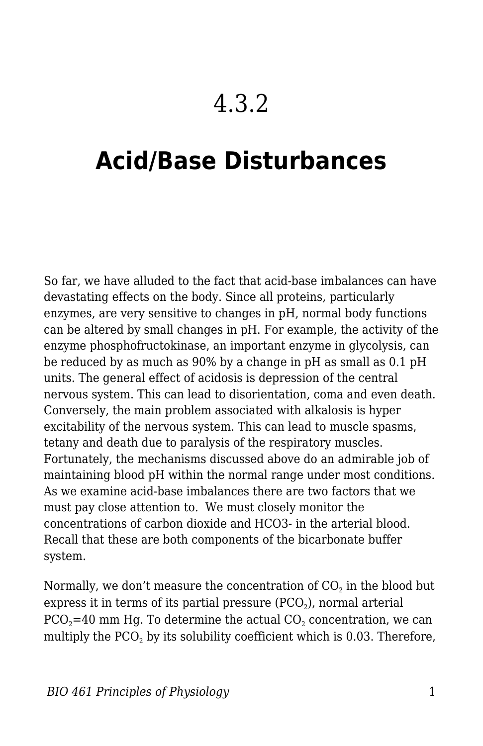## 4.3.2

# **Acid/Base Disturbances**

So far, we have alluded to the fact that acid-base imbalances can have devastating effects on the body. Since all proteins, particularly enzymes, are very sensitive to changes in pH, normal body functions can be altered by small changes in pH. For example, the activity of the enzyme phosphofructokinase, an important enzyme in glycolysis, can be reduced by as much as 90% by a change in pH as small as 0.1 pH units. The general effect of acidosis is depression of the central nervous system. This can lead to disorientation, coma and even death. Conversely, the main problem associated with alkalosis is hyper excitability of the nervous system. This can lead to muscle spasms, tetany and death due to paralysis of the respiratory muscles. Fortunately, the mechanisms discussed above do an admirable job of maintaining blood pH within the normal range under most conditions. As we examine acid-base imbalances there are two factors that we must pay close attention to. We must closely monitor the concentrations of carbon dioxide and HCO3- in the arterial blood. Recall that these are both components of the bicarbonate buffer system.

Normally, we don't measure the concentration of  $\mathrm{CO}_2$  in the blood but express it in terms of its partial pressure (PCO $_{\rm 2}$ ), normal arterial  $\mathrm{PCO}_2\text{=}40$  mm Hg. To determine the actual  $\mathrm{CO}_2$  concentration, we can multiply the PCO $_{\scriptscriptstyle 2}$  by its solubility coefficient which is 0.03. Therefore,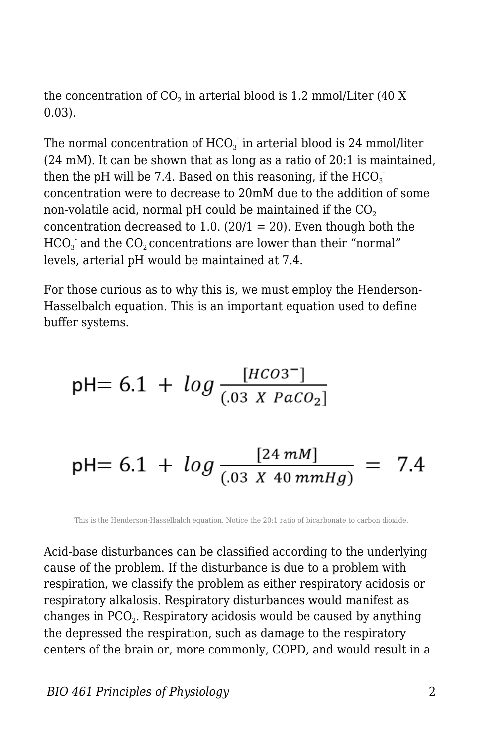the concentration of CO $_2$  in arterial blood is 1.2 mmol/Liter (40 X 0.03).

The normal concentration of  $\mathrm{HCO}_3^+$  in arterial blood is 24 mmol/liter (24 mM). It can be shown that as long as a ratio of 20:1 is maintained, then the pH will be 7.4. Based on this reasoning, if the  $\mathrm{HCO}_3^$ concentration were to decrease to 20mM due to the addition of some non-volatile acid, normal pH could be maintained if the  $CO<sub>2</sub>$ concentration decreased to 1.0.  $(20/1 = 20)$ . Even though both the  $HCO<sub>3</sub>$  and the  $CO<sub>2</sub>$  concentrations are lower than their "normal" levels, arterial pH would be maintained at 7.4.

For those curious as to why this is, we must employ the Henderson-Hasselbalch equation. This is an important equation used to define buffer systems.

pH= 6.1 + 
$$
log \frac{[HCO3^{-}]}{(.03 \times PacO_2]}
$$
  
\npH= 6.1 +  $log \frac{[24 \text{ mM}]}{(.03 \times 40 \text{ mmHg})}$  = 7.4

This is the Henderson-Hasselbalch equation. Notice the 20:1 ratio of bicarbonate to carbon dioxide.

Acid-base disturbances can be classified according to the underlying cause of the problem. If the disturbance is due to a problem with respiration, we classify the problem as either respiratory acidosis or respiratory alkalosis. Respiratory disturbances would manifest as changes in PCO $_2$ . Respiratory acidosis would be caused by anything the depressed the respiration, such as damage to the respiratory centers of the brain or, more commonly, COPD, and would result in a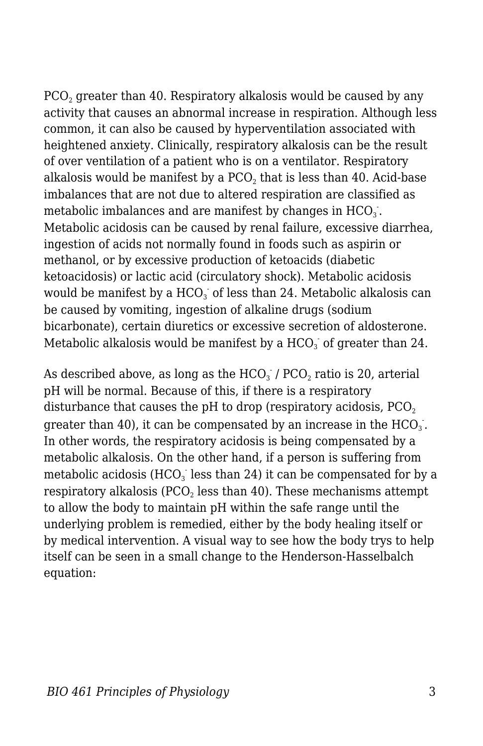$\mathrm{PCO}_2$  greater than 40. Respiratory alkalosis would be caused by any activity that causes an abnormal increase in respiration. Although less common, it can also be caused by hyperventilation associated with heightened anxiety. Clinically, respiratory alkalosis can be the result of over ventilation of a patient who is on a ventilator. Respiratory alkalosis would be manifest by a  $\mathtt{PCO}_2$  that is less than 40. Acid-base imbalances that are not due to altered respiration are classified as metabolic imbalances and are manifest by changes in  $\mathrm{HCO}_3^+$ . Metabolic acidosis can be caused by renal failure, excessive diarrhea, ingestion of acids not normally found in foods such as aspirin or methanol, or by excessive production of ketoacids (diabetic ketoacidosis) or lactic acid (circulatory shock). Metabolic acidosis would be manifest by a  $\mathrm{HCO}_3^+$  of less than 24. Metabolic alkalosis can be caused by vomiting, ingestion of alkaline drugs (sodium bicarbonate), certain diuretics or excessive secretion of aldosterone. Metabolic alkalosis would be manifest by a  $\mathrm{HCO}_3^+$  of greater than 24.

As described above, as long as the  $\mathrm{HCO}_3^+$  /  $\mathrm{PCO}_2$  ratio is 20, arterial pH will be normal. Because of this, if there is a respiratory disturbance that causes the pH to drop (respiratory acidosis,  $PCO<sub>2</sub>$ ) greater than 40), it can be compensated by an increase in the  $\text{HCO}_3^+$ . In other words, the respiratory acidosis is being compensated by a metabolic alkalosis. On the other hand, if a person is suffering from metabolic acidosis (HCO $_3^{\circ}$  less than 24) it can be compensated for by a respiratory alkalosis (PCO $_{\scriptscriptstyle 2}$  less than 40). These mechanisms attempt to allow the body to maintain pH within the safe range until the underlying problem is remedied, either by the body healing itself or by medical intervention. A visual way to see how the body trys to help itself can be seen in a small change to the Henderson-Hasselbalch equation: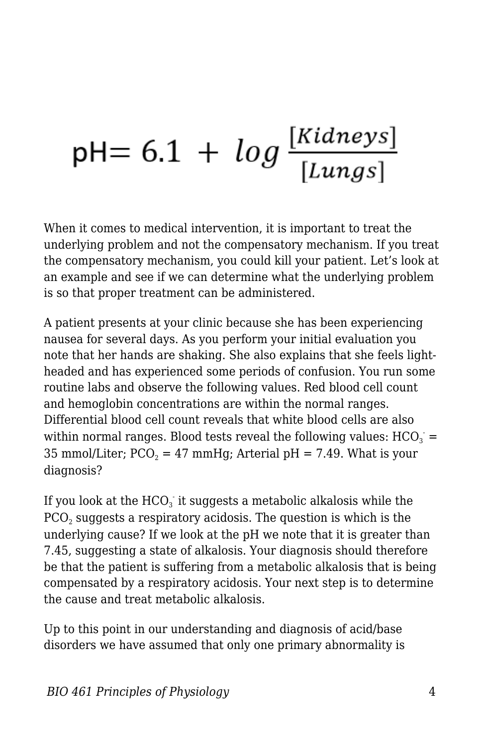# $\mathsf{pH} = 6.1 + log \frac{[Kidneys]}{[Lungs]}$

When it comes to medical intervention, it is important to treat the underlying problem and not the compensatory mechanism. If you treat the compensatory mechanism, you could kill your patient. Let's look at an example and see if we can determine what the underlying problem is so that proper treatment can be administered.

A patient presents at your clinic because she has been experiencing nausea for several days. As you perform your initial evaluation you note that her hands are shaking. She also explains that she feels lightheaded and has experienced some periods of confusion. You run some routine labs and observe the following values. Red blood cell count and hemoglobin concentrations are within the normal ranges. Differential blood cell count reveals that white blood cells are also within normal ranges. Blood tests reveal the following values:  $\text{HCO}_3$  = 35 mmol/Liter; PCO $_2$  = 47 mmHg; Arterial pH = 7.49. What is your diagnosis?

If you look at the  $\text{HCO}_3^+$  it suggests a metabolic alkalosis while the  $\mathrm{PCO}_2$  suggests a respiratory acidosis. The question is which is the underlying cause? If we look at the pH we note that it is greater than 7.45, suggesting a state of alkalosis. Your diagnosis should therefore be that the patient is suffering from a metabolic alkalosis that is being compensated by a respiratory acidosis. Your next step is to determine the cause and treat metabolic alkalosis.

Up to this point in our understanding and diagnosis of acid/base disorders we have assumed that only one primary abnormality is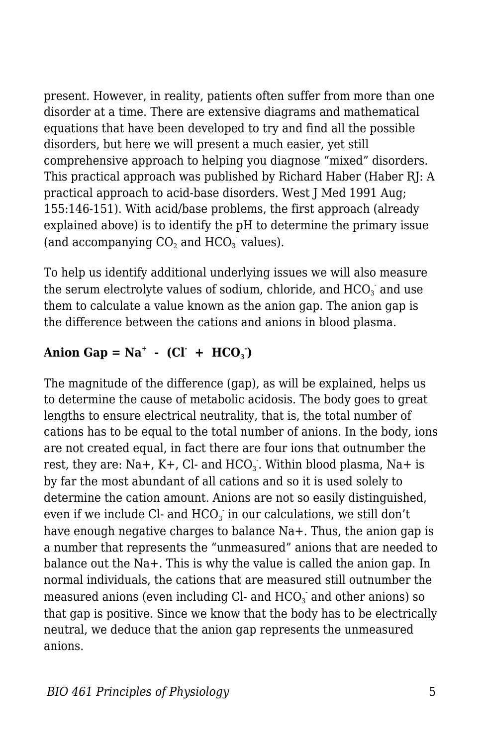present. However, in reality, patients often suffer from more than one disorder at a time. There are extensive diagrams and mathematical equations that have been developed to try and find all the possible disorders, but here we will present a much easier, yet still comprehensive approach to helping you diagnose "mixed" disorders. This practical approach was published by Richard Haber (Haber RJ: A practical approach to acid-base disorders. West J Med 1991 Aug; 155:146-151). With acid/base problems, the first approach (already explained above) is to identify the pH to determine the primary issue (and accompanying  $CO<sub>2</sub>$  and  $HCO<sub>3</sub>$  values).

To help us identify additional underlying issues we will also measure the serum electrolyte values of sodium, chloride, and  $\mathrm{HCO_3}^+$  and use them to calculate a value known as the anion gap. The anion gap is the difference between the cations and anions in blood plasma.

## Anion Gap =  $\text{Na}^+$  - (Cl + HCO<sub>3</sub>)

The magnitude of the difference (gap), as will be explained, helps us to determine the cause of metabolic acidosis. The body goes to great lengths to ensure electrical neutrality, that is, the total number of cations has to be equal to the total number of anions. In the body, ions are not created equal, in fact there are four ions that outnumber the rest, they are: Na+, K+, Cl- and  $HCO<sub>3</sub>$ . Within blood plasma, Na+ is by far the most abundant of all cations and so it is used solely to determine the cation amount. Anions are not so easily distinguished, even if we include Cl- and  $\text{HCO}_3^+$  in our calculations, we still don't have enough negative charges to balance Na+. Thus, the anion gap is a number that represents the "unmeasured" anions that are needed to balance out the Na+. This is why the value is called the anion gap. In normal individuals, the cations that are measured still outnumber the measured anions (even including Cl- and  $\mathrm{HCO}_3^+$  and other anions) so that gap is positive. Since we know that the body has to be electrically neutral, we deduce that the anion gap represents the unmeasured anions.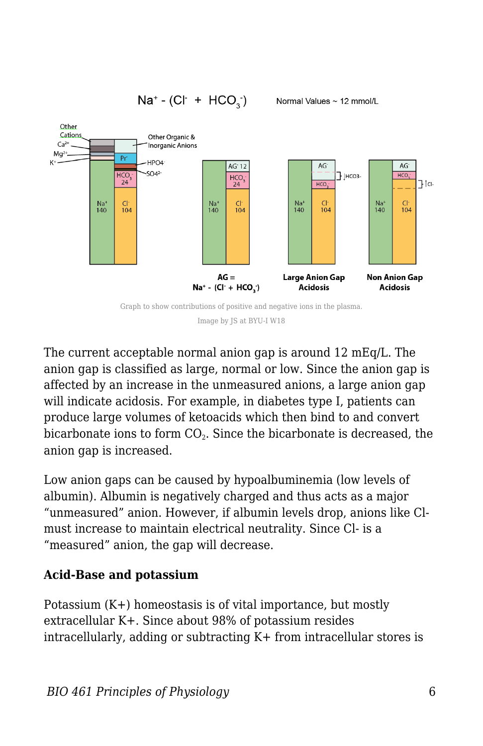

The current acceptable normal anion gap is around 12 mEq/L. The anion gap is classified as large, normal or low. Since the anion gap is affected by an increase in the unmeasured anions, a large anion gap will indicate acidosis. For example, in diabetes type I, patients can produce large volumes of ketoacids which then bind to and convert bicarbonate ions to form  $\mathrm{CO}_2.$  Since the bicarbonate is decreased, the anion gap is increased.

Low anion gaps can be caused by hypoalbuminemia (low levels of albumin). Albumin is negatively charged and thus acts as a major "unmeasured" anion. However, if albumin levels drop, anions like Clmust increase to maintain electrical neutrality. Since Cl- is a "measured" anion, the gap will decrease.

### **Acid-Base and potassium**

Potassium (K+) homeostasis is of vital importance, but mostly extracellular K+. Since about 98% of potassium resides intracellularly, adding or subtracting K+ from intracellular stores is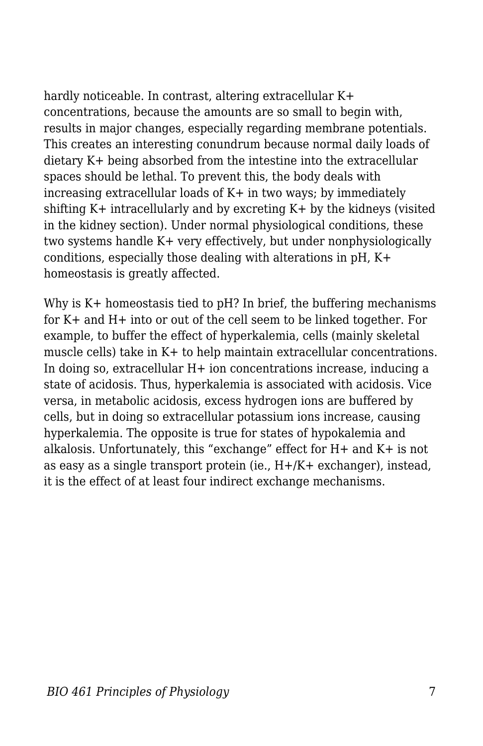hardly noticeable. In contrast, altering extracellular K+ concentrations, because the amounts are so small to begin with, results in major changes, especially regarding membrane potentials. This creates an interesting conundrum because normal daily loads of dietary K+ being absorbed from the intestine into the extracellular spaces should be lethal. To prevent this, the body deals with increasing extracellular loads of K+ in two ways; by immediately shifting K+ intracellularly and by excreting K+ by the kidneys (visited in the kidney section). Under normal physiological conditions, these two systems handle K+ very effectively, but under nonphysiologically conditions, especially those dealing with alterations in pH, K+ homeostasis is greatly affected.

Why is K+ homeostasis tied to pH? In brief, the buffering mechanisms for K+ and H+ into or out of the cell seem to be linked together. For example, to buffer the effect of hyperkalemia, cells (mainly skeletal muscle cells) take in K+ to help maintain extracellular concentrations. In doing so, extracellular H+ ion concentrations increase, inducing a state of acidosis. Thus, hyperkalemia is associated with acidosis. Vice versa, in metabolic acidosis, excess hydrogen ions are buffered by cells, but in doing so extracellular potassium ions increase, causing hyperkalemia. The opposite is true for states of hypokalemia and alkalosis. Unfortunately, this "exchange" effect for H+ and K+ is not as easy as a single transport protein (ie., H+/K+ exchanger), instead, it is the effect of at least four indirect exchange mechanisms.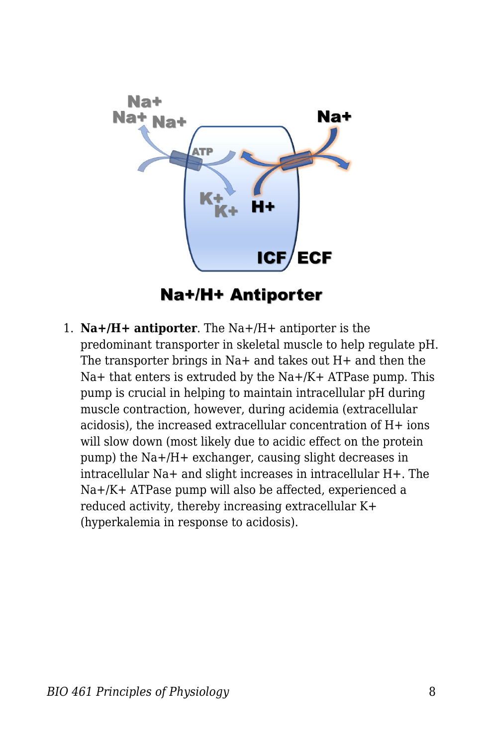

**Na+/H+ Antiporter** 

1. **Na+/H+ antiporter**. The Na+/H+ antiporter is the predominant transporter in skeletal muscle to help regulate pH. The transporter brings in Na+ and takes out H+ and then the Na+ that enters is extruded by the Na+/K+ ATPase pump. This pump is crucial in helping to maintain intracellular pH during muscle contraction, however, during acidemia (extracellular acidosis), the increased extracellular concentration of H+ ions will slow down (most likely due to acidic effect on the protein pump) the Na+/H+ exchanger, causing slight decreases in intracellular Na+ and slight increases in intracellular H+. The Na+/K+ ATPase pump will also be affected, experienced a reduced activity, thereby increasing extracellular K+ (hyperkalemia in response to acidosis).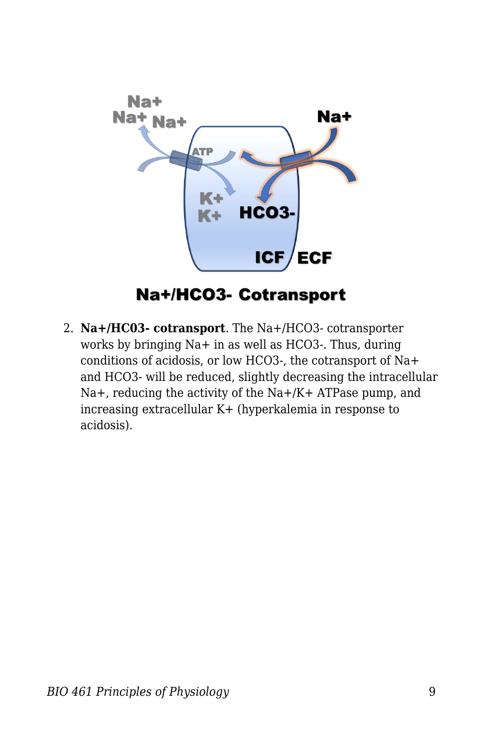

**Na+/HCO3- Cotransport** 

2. **Na+/HC03- cotransport**. The Na+/HCO3- cotransporter works by bringing Na+ in as well as HCO3-. Thus, during conditions of acidosis, or low HCO3-, the cotransport of Na+ and HCO3- will be reduced, slightly decreasing the intracellular Na+, reducing the activity of the Na+/K+ ATPase pump, and increasing extracellular K+ (hyperkalemia in response to acidosis).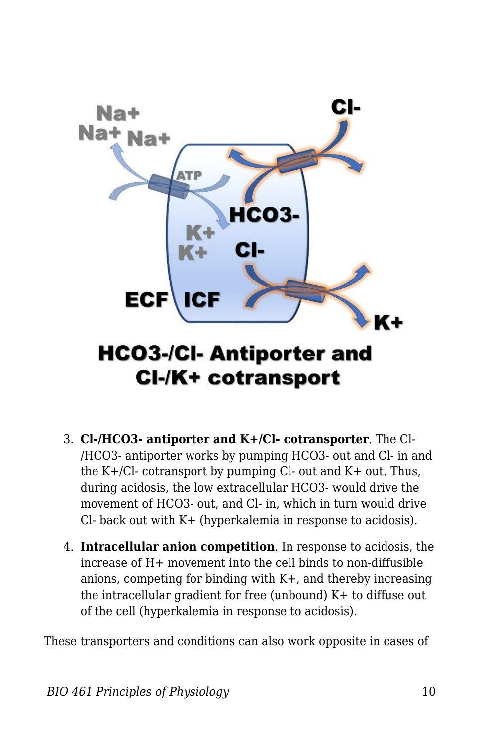

- 3. **Cl-/HCO3- antiporter and K+/Cl- cotransporter**. The Cl- /HCO3- antiporter works by pumping HCO3- out and Cl- in and the K+/Cl- cotransport by pumping Cl- out and K+ out. Thus, during acidosis, the low extracellular HCO3- would drive the movement of HCO3- out, and Cl- in, which in turn would drive Cl- back out with K+ (hyperkalemia in response to acidosis).
- 4. **Intracellular anion competition**. In response to acidosis, the increase of H+ movement into the cell binds to non-diffusible anions, competing for binding with K+, and thereby increasing the intracellular gradient for free (unbound) K+ to diffuse out of the cell (hyperkalemia in response to acidosis).

These transporters and conditions can also work opposite in cases of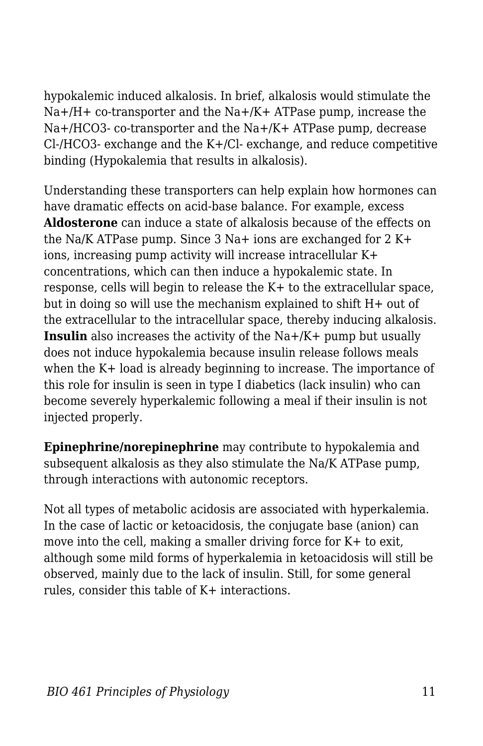hypokalemic induced alkalosis. In brief, alkalosis would stimulate the Na+/H+ co-transporter and the Na+/K+ ATPase pump, increase the Na+/HCO3- co-transporter and the Na+/K+ ATPase pump, decrease Cl-/HCO3- exchange and the K+/Cl- exchange, and reduce competitive binding (Hypokalemia that results in alkalosis).

Understanding these transporters can help explain how hormones can have dramatic effects on acid-base balance. For example, excess **Aldosterone** can induce a state of alkalosis because of the effects on the Na/K ATPase pump. Since 3 Na+ ions are exchanged for 2 K+ ions, increasing pump activity will increase intracellular K+ concentrations, which can then induce a hypokalemic state. In response, cells will begin to release the K+ to the extracellular space, but in doing so will use the mechanism explained to shift H+ out of the extracellular to the intracellular space, thereby inducing alkalosis. **Insulin** also increases the activity of the Na+/K+ pump but usually does not induce hypokalemia because insulin release follows meals when the K+ load is already beginning to increase. The importance of this role for insulin is seen in type I diabetics (lack insulin) who can become severely hyperkalemic following a meal if their insulin is not injected properly.

**Epinephrine/norepinephrine** may contribute to hypokalemia and subsequent alkalosis as they also stimulate the Na/K ATPase pump, through interactions with autonomic receptors.

Not all types of metabolic acidosis are associated with hyperkalemia. In the case of lactic or ketoacidosis, the conjugate base (anion) can move into the cell, making a smaller driving force for K+ to exit, although some mild forms of hyperkalemia in ketoacidosis will still be observed, mainly due to the lack of insulin. Still, for some general rules, consider this table of K+ interactions.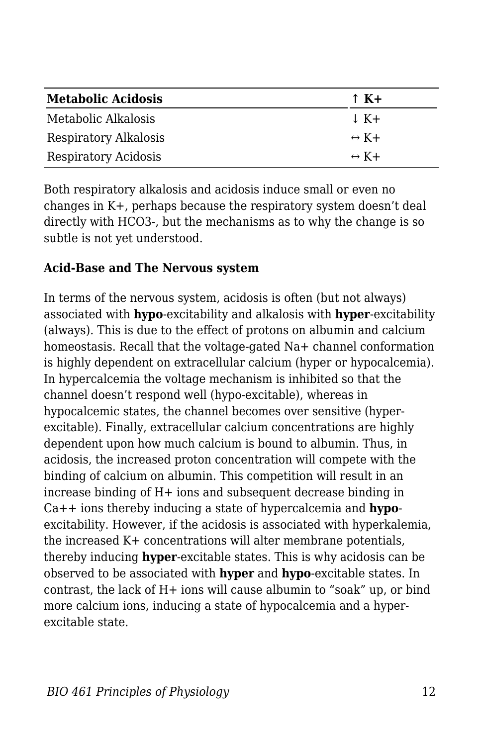| <b>Metabolic Acidosis</b>   | $\uparrow$ K+        |
|-----------------------------|----------------------|
| Metabolic Alkalosis         | $\downarrow$ K+      |
| Respiratory Alkalosis       | $\leftrightarrow$ K+ |
| <b>Respiratory Acidosis</b> | $\leftrightarrow$ K+ |

Both respiratory alkalosis and acidosis induce small or even no changes in K+, perhaps because the respiratory system doesn't deal directly with HCO3-, but the mechanisms as to why the change is so subtle is not yet understood.

#### **Acid-Base and The Nervous system**

In terms of the nervous system, acidosis is often (but not always) associated with **hypo**-excitability and alkalosis with **hyper**-excitability (always). This is due to the effect of protons on albumin and calcium homeostasis. Recall that the voltage-gated Na+ channel conformation is highly dependent on extracellular calcium (hyper or hypocalcemia). In hypercalcemia the voltage mechanism is inhibited so that the channel doesn't respond well (hypo-excitable), whereas in hypocalcemic states, the channel becomes over sensitive (hyperexcitable). Finally, extracellular calcium concentrations are highly dependent upon how much calcium is bound to albumin. Thus, in acidosis, the increased proton concentration will compete with the binding of calcium on albumin. This competition will result in an increase binding of H+ ions and subsequent decrease binding in Ca++ ions thereby inducing a state of hypercalcemia and **hypo**excitability. However, if the acidosis is associated with hyperkalemia, the increased K+ concentrations will alter membrane potentials, thereby inducing **hyper**-excitable states. This is why acidosis can be observed to be associated with **hyper** and **hypo**-excitable states. In contrast, the lack of H+ ions will cause albumin to "soak" up, or bind more calcium ions, inducing a state of hypocalcemia and a hyperexcitable state.